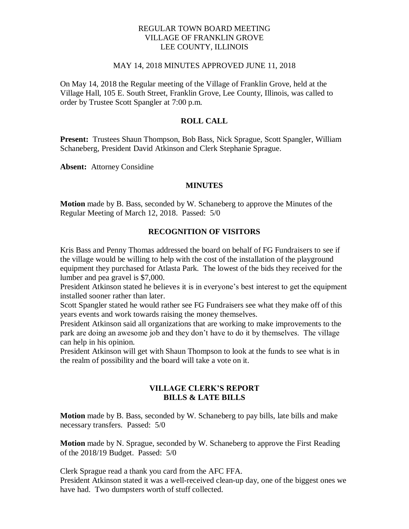#### REGULAR TOWN BOARD MEETING VILLAGE OF FRANKLIN GROVE LEE COUNTY, ILLINOIS

#### MAY 14, 2018 MINUTES APPROVED JUNE 11, 2018

On May 14, 2018 the Regular meeting of the Village of Franklin Grove, held at the Village Hall, 105 E. South Street, Franklin Grove, Lee County, Illinois, was called to order by Trustee Scott Spangler at 7:00 p.m.

## **ROLL CALL**

**Present:** Trustees Shaun Thompson, Bob Bass, Nick Sprague, Scott Spangler, William Schaneberg, President David Atkinson and Clerk Stephanie Sprague.

**Absent:** Attorney Considine

#### **MINUTES**

**Motion** made by B. Bass, seconded by W. Schaneberg to approve the Minutes of the Regular Meeting of March 12, 2018. Passed: 5/0

#### **RECOGNITION OF VISITORS**

Kris Bass and Penny Thomas addressed the board on behalf of FG Fundraisers to see if the village would be willing to help with the cost of the installation of the playground equipment they purchased for Atlasta Park. The lowest of the bids they received for the lumber and pea gravel is \$7,000.

President Atkinson stated he believes it is in everyone's best interest to get the equipment installed sooner rather than later.

Scott Spangler stated he would rather see FG Fundraisers see what they make off of this years events and work towards raising the money themselves.

President Atkinson said all organizations that are working to make improvements to the park are doing an awesome job and they don't have to do it by themselves. The village can help in his opinion.

President Atkinson will get with Shaun Thompson to look at the funds to see what is in the realm of possibility and the board will take a vote on it.

#### **VILLAGE CLERK'S REPORT BILLS & LATE BILLS**

**Motion** made by B. Bass, seconded by W. Schaneberg to pay bills, late bills and make necessary transfers. Passed: 5/0

**Motion** made by N. Sprague, seconded by W. Schaneberg to approve the First Reading of the 2018/19 Budget. Passed: 5/0

Clerk Sprague read a thank you card from the AFC FFA.

President Atkinson stated it was a well-received clean-up day, one of the biggest ones we have had. Two dumpsters worth of stuff collected.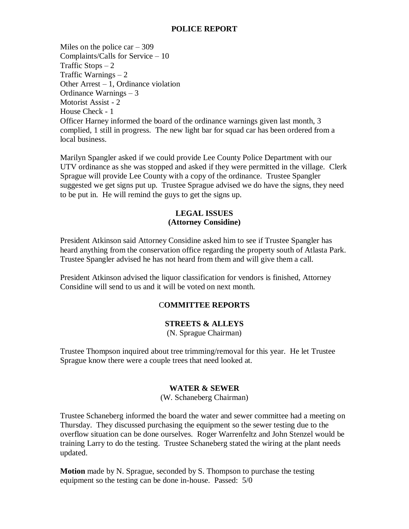## **POLICE REPORT**

Miles on the police  $car - 309$ Complaints/Calls for Service – 10 Traffic Stops  $-2$ Traffic Warnings – 2 Other Arrest – 1, Ordinance violation Ordinance Warnings – 3 Motorist Assist - 2 House Check - 1 Officer Harney informed the board of the ordinance warnings given last month, 3 complied, 1 still in progress. The new light bar for squad car has been ordered from a local business.

Marilyn Spangler asked if we could provide Lee County Police Department with our UTV ordinance as she was stopped and asked if they were permitted in the village. Clerk Sprague will provide Lee County with a copy of the ordinance. Trustee Spangler suggested we get signs put up. Trustee Sprague advised we do have the signs, they need to be put in. He will remind the guys to get the signs up.

## **LEGAL ISSUES (Attorney Considine)**

President Atkinson said Attorney Considine asked him to see if Trustee Spangler has heard anything from the conservation office regarding the property south of Atlasta Park. Trustee Spangler advised he has not heard from them and will give them a call.

President Atkinson advised the liquor classification for vendors is finished, Attorney Considine will send to us and it will be voted on next month.

# C**OMMITTEE REPORTS**

## **STREETS & ALLEYS**

(N. Sprague Chairman)

Trustee Thompson inquired about tree trimming/removal for this year. He let Trustee Sprague know there were a couple trees that need looked at.

## **WATER & SEWER**

(W. Schaneberg Chairman)

Trustee Schaneberg informed the board the water and sewer committee had a meeting on Thursday. They discussed purchasing the equipment so the sewer testing due to the overflow situation can be done ourselves. Roger Warrenfeltz and John Stenzel would be training Larry to do the testing. Trustee Schaneberg stated the wiring at the plant needs updated.

**Motion** made by N. Sprague, seconded by S. Thompson to purchase the testing equipment so the testing can be done in-house. Passed: 5/0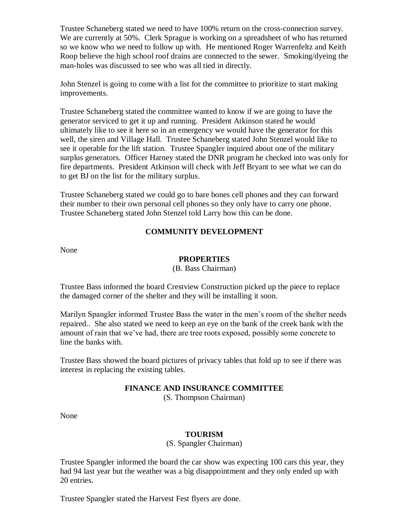Trustee Schaneberg stated we need to have 100% return on the cross-connection survey. We are currently at 50%. Clerk Sprague is working on a spreadsheet of who has returned so we know who we need to follow up with. He mentioned Roger Warrenfeltz and Keith Roop believe the high school roof drains are connected to the sewer. Smoking/dyeing the man-holes was discussed to see who was all tied in directly.

John Stenzel is going to come with a list for the committee to prioritize to start making improvements.

Trustee Schaneberg stated the committee wanted to know if we are going to have the generator serviced to get it up and running. President Atkinson stated he would ultimately like to see it here so in an emergency we would have the generator for this well, the siren and Village Hall. Trustee Schaneberg stated John Stenzel would like to see it operable for the lift station. Trustee Spangler inquired about one of the military surplus generators. Officer Harney stated the DNR program he checked into was only for fire departments. President Atkinson will check with Jeff Bryant to see what we can do to get BJ on the list for the military surplus.

Trustee Schaneberg stated we could go to bare bones cell phones and they can forward their number to their own personal cell phones so they only have to carry one phone. Trustee Schaneberg stated John Stenzel told Larry how this can be done.

# **COMMUNITY DEVELOPMENT**

None

## **PROPERTIES**

#### (B. Bass Chairman)

Trustee Bass informed the board Crestview Construction picked up the piece to replace the damaged corner of the shelter and they will be installing it soon.

Marilyn Spangler informed Trustee Bass the water in the men's room of the shelter needs repaired.. She also stated we need to keep an eye on the bank of the creek bank with the amount of rain that we've had, there are tree roots exposed, possibly some concrete to line the banks with.

Trustee Bass showed the board pictures of privacy tables that fold up to see if there was interest in replacing the existing tables.

## **FINANCE AND INSURANCE COMMITTEE**

(S. Thompson Chairman)

None

# **TOURISM**

(S. Spangler Chairman)

Trustee Spangler informed the board the car show was expecting 100 cars this year, they had 94 last year but the weather was a big disappointment and they only ended up with 20 entries.

Trustee Spangler stated the Harvest Fest flyers are done.